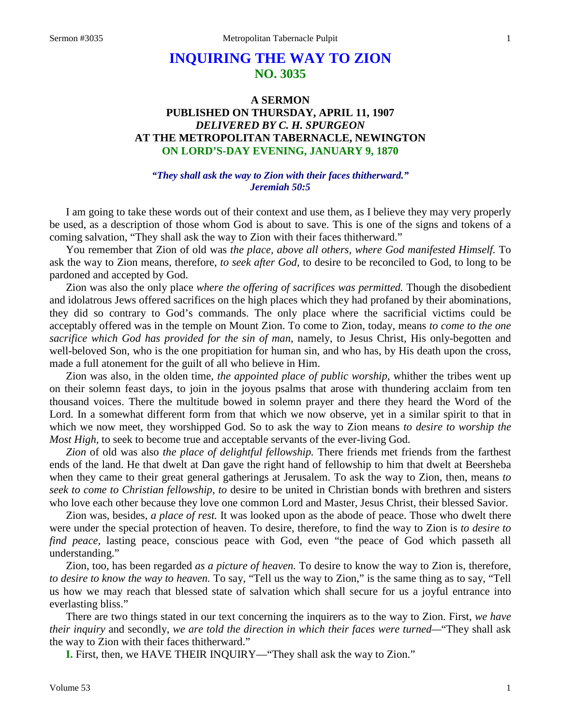# **INQUIRING THE WAY TO ZION NO. 3035**

## **A SERMON PUBLISHED ON THURSDAY, APRIL 11, 1907** *DELIVERED BY C. H. SPURGEON* **AT THE METROPOLITAN TABERNACLE, NEWINGTON ON LORD'S-DAY EVENING, JANUARY 9, 1870**

#### *"They shall ask the way to Zion with their faces thitherward." Jeremiah 50:5*

I am going to take these words out of their context and use them, as I believe they may very properly be used, as a description of those whom God is about to save. This is one of the signs and tokens of a coming salvation, "They shall ask the way to Zion with their faces thitherward."

You remember that Zion of old was *the place, above all others, where God manifested Himself.* To ask the way to Zion means, therefore, *to seek after God,* to desire to be reconciled to God, to long to be pardoned and accepted by God.

Zion was also the only place *where the offering of sacrifices was permitted.* Though the disobedient and idolatrous Jews offered sacrifices on the high places which they had profaned by their abominations, they did so contrary to God's commands. The only place where the sacrificial victims could be acceptably offered was in the temple on Mount Zion. To come to Zion, today, means *to come to the one sacrifice which God has provided for the sin of man,* namely, to Jesus Christ, His only-begotten and well-beloved Son, who is the one propitiation for human sin, and who has, by His death upon the cross, made a full atonement for the guilt of all who believe in Him.

Zion was also, in the olden time, *the appointed place of public worship,* whither the tribes went up on their solemn feast days, to join in the joyous psalms that arose with thundering acclaim from ten thousand voices. There the multitude bowed in solemn prayer and there they heard the Word of the Lord. In a somewhat different form from that which we now observe, yet in a similar spirit to that in which we now meet, they worshipped God. So to ask the way to Zion means *to desire to worship the Most High,* to seek to become true and acceptable servants of the ever-living God.

*Zion* of old was also *the place of delightful fellowship.* There friends met friends from the farthest ends of the land. He that dwelt at Dan gave the right hand of fellowship to him that dwelt at Beersheba when they came to their great general gatherings at Jerusalem. To ask the way to Zion, then, means *to seek to come to Christian fellowship, to* desire to be united in Christian bonds with brethren and sisters who love each other because they love one common Lord and Master, Jesus Christ, their blessed Savior.

Zion was, besides, *a place of rest.* It was looked upon as the abode of peace. Those who dwelt there were under the special protection of heaven. To desire, therefore, to find the way to Zion is *to desire to find peace,* lasting peace, conscious peace with God, even "the peace of God which passeth all understanding."

Zion, too, has been regarded *as a picture of heaven.* To desire to know the way to Zion is, therefore, *to desire to know the way to heaven.* To say, "Tell us the way to Zion," is the same thing as to say, "Tell us how we may reach that blessed state of salvation which shall secure for us a joyful entrance into everlasting bliss."

There are two things stated in our text concerning the inquirers as to the way to Zion. First, *we have their inquiry* and secondly, *we are told the direction in which their faces were turned—*"They shall ask the way to Zion with their faces thitherward."

**I.** First, then, we HAVE THEIR INQUIRY—"They shall ask the way to Zion."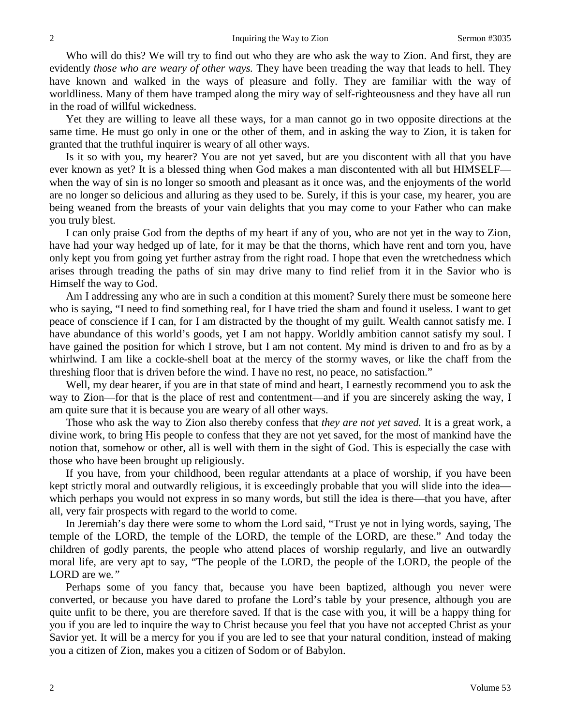Who will do this? We will try to find out who they are who ask the way to Zion. And first, they are evidently *those who are weary of other ways.* They have been treading the way that leads to hell. They have known and walked in the ways of pleasure and folly. They are familiar with the way of worldliness. Many of them have tramped along the miry way of self-righteousness and they have all run in the road of willful wickedness.

Yet they are willing to leave all these ways, for a man cannot go in two opposite directions at the same time. He must go only in one or the other of them, and in asking the way to Zion, it is taken for granted that the truthful inquirer is weary of all other ways.

Is it so with you, my hearer? You are not yet saved, but are you discontent with all that you have ever known as yet? It is a blessed thing when God makes a man discontented with all but HIMSELF when the way of sin is no longer so smooth and pleasant as it once was, and the enjoyments of the world are no longer so delicious and alluring as they used to be. Surely, if this is your case, my hearer*,* you are being weaned from the breasts of your vain delights that you may come to your Father who can make you truly blest.

I can only praise God from the depths of my heart if any of you, who are not yet in the way to Zion, have had your way hedged up of late, for it may be that the thorns, which have rent and torn you, have only kept you from going yet further astray from the right road. I hope that even the wretchedness which arises through treading the paths of sin may drive many to find relief from it in the Savior who is Himself the way to God.

Am I addressing any who are in such a condition at this moment? Surely there must be someone here who is saying, "I need to find something real, for I have tried the sham and found it useless. I want to get peace of conscience if I can, for I am distracted by the thought of my guilt. Wealth cannot satisfy me. I have abundance of this world's goods, yet I am not happy. Worldly ambition cannot satisfy my soul. I have gained the position for which I strove, but I am not content. My mind is driven to and fro as by a whirlwind. I am like a cockle-shell boat at the mercy of the stormy waves, or like the chaff from the threshing floor that is driven before the wind. I have no rest, no peace, no satisfaction."

Well, my dear hearer, if you are in that state of mind and heart, I earnestly recommend you to ask the way to Zion—for that is the place of rest and contentment—and if you are sincerely asking the way, I am quite sure that it is because you are weary of all other ways.

Those who ask the way to Zion also thereby confess that *they are not yet saved.* It is a great work, a divine work, to bring His people to confess that they are not yet saved, for the most of mankind have the notion that, somehow or other, all is well with them in the sight of God. This is especially the case with those who have been brought up religiously.

If you have, from your childhood, been regular attendants at a place of worship, if you have been kept strictly moral and outwardly religious, it is exceedingly probable that you will slide into the idea which perhaps you would not express in so many words, but still the idea is there—that you have, after all, very fair prospects with regard to the world to come.

In Jeremiah's day there were some to whom the Lord said, "Trust ye not in lying words, saying, The temple of the LORD, the temple of the LORD, the temple of the LORD, are these." And today the children of godly parents, the people who attend places of worship regularly, and live an outwardly moral life, are very apt to say, "The people of the LORD, the people of the LORD, the people of the LORD are we*."*

Perhaps some of you fancy that, because you have been baptized, although you never were converted, or because you have dared to profane the Lord's table by your presence, although you are quite unfit to be there, you are therefore saved. If that is the case with you, it will be a happy thing for you if you are led to inquire the way to Christ because you feel that you have not accepted Christ as your Savior yet. It will be a mercy for you if you are led to see that your natural condition, instead of making you a citizen of Zion, makes you a citizen of Sodom or of Babylon.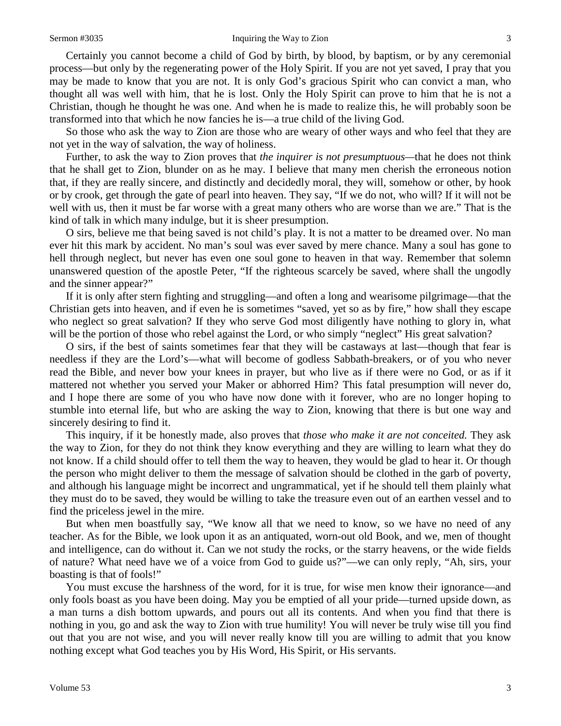#### Sermon #3035 **Inquiring the Way to Zion** 3

Certainly you cannot become a child of God by birth, by blood, by baptism, or by any ceremonial process—but only by the regenerating power of the Holy Spirit. If you are not yet saved, I pray that you may be made to know that you are not. It is only God's gracious Spirit who can convict a man, who thought all was well with him, that he is lost. Only the Holy Spirit can prove to him that he is not a Christian, though he thought he was one. And when he is made to realize this, he will probably soon be transformed into that which he now fancies he is—a true child of the living God.

So those who ask the way to Zion are those who are weary of other ways and who feel that they are not yet in the way of salvation, the way of holiness.

Further, to ask the way to Zion proves that *the inquirer is not presumptuous—*that he does not think that he shall get to Zion, blunder on as he may. I believe that many men cherish the erroneous notion that, if they are really sincere, and distinctly and decidedly moral, they will, somehow or other, by hook or by crook, get through the gate of pearl into heaven. They say, "If we do not, who will? If it will not be well with us, then it must be far worse with a great many others who are worse than we are." That is the kind of talk in which many indulge, but it is sheer presumption.

O sirs, believe me that being saved is not child's play. It is not a matter to be dreamed over. No man ever hit this mark by accident. No man's soul was ever saved by mere chance. Many a soul has gone to hell through neglect, but never has even one soul gone to heaven in that way. Remember that solemn unanswered question of the apostle Peter, "If the righteous scarcely be saved, where shall the ungodly and the sinner appear?"

If it is only after stern fighting and struggling—and often a long and wearisome pilgrimage—that the Christian gets into heaven, and if even he is sometimes "saved*,* yet so as by fire," how shall they escape who neglect so great salvation? If they who serve God most diligently have nothing to glory in, what will be the portion of those who rebel against the Lord, or who simply "neglect" His great salvation?

O sirs, if the best of saints sometimes fear that they will be castaways at last—though that fear is needless if they are the Lord's—what will become of godless Sabbath-breakers, or of you who never read the Bible, and never bow your knees in prayer, but who live as if there were no God, or as if it mattered not whether you served your Maker or abhorred Him? This fatal presumption will never do, and I hope there are some of you who have now done with it forever, who are no longer hoping to stumble into eternal life, but who are asking the way to Zion, knowing that there is but one way and sincerely desiring to find it.

This inquiry, if it be honestly made, also proves that *those who make it are not conceited.* They ask the way to Zion, for they do not think they know everything and they are willing to learn what they do not know. If a child should offer to tell them the way to heaven, they would be glad to hear it. Or though the person who might deliver to them the message of salvation should be clothed in the garb of poverty, and although his language might be incorrect and ungrammatical, yet if he should tell them plainly what they must do to be saved, they would be willing to take the treasure even out of an earthen vessel and to find the priceless jewel in the mire.

But when men boastfully say, "We know all that we need to know, so we have no need of any teacher. As for the Bible, we look upon it as an antiquated, worn-out old Book, and we, men of thought and intelligence, can do without it. Can we not study the rocks, or the starry heavens, or the wide fields of nature? What need have we of a voice from God to guide us?"—we can only reply, "Ah, sirs, your boasting is that of fools!"

You must excuse the harshness of the word, for it is true, for wise men know their ignorance—and only fools boast as you have been doing. May you be emptied of all your pride—turned upside down, as a man turns a dish bottom upwards, and pours out all its contents. And when you find that there is nothing in you, go and ask the way to Zion with true humility! You will never be truly wise till you find out that you are not wise, and you will never really know till you are willing to admit that you know nothing except what God teaches you by His Word, His Spirit, or His servants.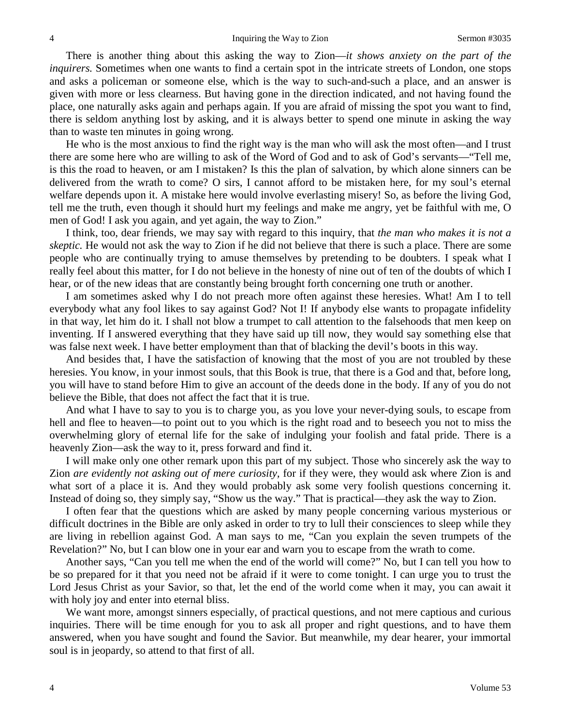There is another thing about this asking the way to Zion—*it shows anxiety on the part of the inquirers.* Sometimes when one wants to find a certain spot in the intricate streets of London, one stops and asks a policeman or someone else, which is the way to such-and-such a place, and an answer is given with more or less clearness. But having gone in the direction indicated, and not having found the place, one naturally asks again and perhaps again. If you are afraid of missing the spot you want to find, there is seldom anything lost by asking, and it is always better to spend one minute in asking the way than to waste ten minutes in going wrong.

He who is the most anxious to find the right way is the man who will ask the most often—and I trust there are some here who are willing to ask of the Word of God and to ask of God's servants—"Tell me, is this the road to heaven, or am I mistaken? Is this the plan of salvation, by which alone sinners can be delivered from the wrath to come? O sirs, I cannot afford to be mistaken here, for my soul's eternal welfare depends upon it. A mistake here would involve everlasting misery! So, as before the living God, tell me the truth, even though it should hurt my feelings and make me angry, yet be faithful with me, O men of God! I ask you again, and yet again, the way to Zion."

I think, too, dear friends, we may say with regard to this inquiry, that *the man who makes it is not a skeptic.* He would not ask the way to Zion if he did not believe that there is such a place. There are some people who are continually trying to amuse themselves by pretending to be doubters. I speak what I really feel about this matter, for I do not believe in the honesty of nine out of ten of the doubts of which I hear, or of the new ideas that are constantly being brought forth concerning one truth or another.

I am sometimes asked why I do not preach more often against these heresies. What! Am I to tell everybody what any fool likes to say against God? Not I! If anybody else wants to propagate infidelity in that way, let him do it. I shall not blow a trumpet to call attention to the falsehoods that men keep on inventing. If I answered everything that they have said up till now, they would say something else that was false next week. I have better employment than that of blacking the devil's boots in this way.

And besides that, I have the satisfaction of knowing that the most of you are not troubled by these heresies. You know, in your inmost souls, that this Book is true, that there is a God and that, before long, you will have to stand before Him to give an account of the deeds done in the body. If any of you do not believe the Bible, that does not affect the fact that it is true.

And what I have to say to you is to charge you, as you love your never-dying souls, to escape from hell and flee to heaven—to point out to you which is the right road and to beseech you not to miss the overwhelming glory of eternal life for the sake of indulging your foolish and fatal pride. There is a heavenly Zion—ask the way to it, press forward and find it.

I will make only one other remark upon this part of my subject. Those who sincerely ask the way to Zion *are evidently not asking out of mere curiosity,* for if they were, they would ask where Zion is and what sort of a place it is. And they would probably ask some very foolish questions concerning it. Instead of doing so, they simply say, "Show us the way." That is practical—they ask the way to Zion.

I often fear that the questions which are asked by many people concerning various mysterious or difficult doctrines in the Bible are only asked in order to try to lull their consciences to sleep while they are living in rebellion against God. A man says to me, "Can you explain the seven trumpets of the Revelation?" No, but I can blow one in your ear and warn you to escape from the wrath to come.

Another says, "Can you tell me when the end of the world will come?" No, but I can tell you how to be so prepared for it that you need not be afraid if it were to come tonight. I can urge you to trust the Lord Jesus Christ as your Savior, so that, let the end of the world come when it may, you can await it with holy joy and enter into eternal bliss.

We want more, amongst sinners especially, of practical questions, and not mere captious and curious inquiries. There will be time enough for you to ask all proper and right questions, and to have them answered, when you have sought and found the Savior. But meanwhile, my dear hearer, your immortal soul is in jeopardy, so attend to that first of all.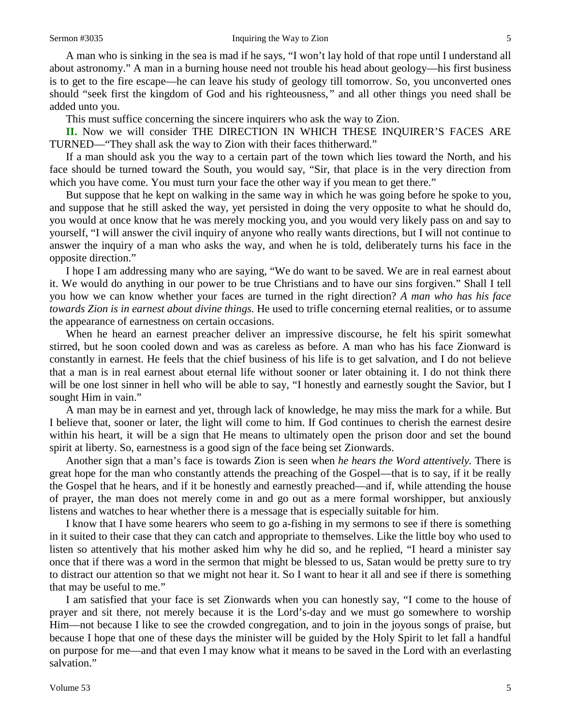A man who is sinking in the sea is mad if he says, "I won't lay hold of that rope until I understand all about astronomy." A man in a burning house need not trouble his head about geology—his first business is to get to the fire escape—he can leave his study of geology till tomorrow. So, you unconverted ones should "seek first the kingdom of God and his righteousness*,"* and all other things you need shall be added unto you.

This must suffice concerning the sincere inquirers who ask the way to Zion.

**II.** Now we will consider THE DIRECTION IN WHICH THESE INQUIRER'S FACES ARE TURNED—"They shall ask the way to Zion with their faces thitherward."

If a man should ask you the way to a certain part of the town which lies toward the North, and his face should be turned toward the South, you would say, "Sir, that place is in the very direction from which you have come. You must turn your face the other way if you mean to get there."

But suppose that he kept on walking in the same way in which he was going before he spoke to you, and suppose that he still asked the way, yet persisted in doing the very opposite to what he should do, you would at once know that he was merely mocking you, and you would very likely pass on and say to yourself, "I will answer the civil inquiry of anyone who really wants directions, but I will not continue to answer the inquiry of a man who asks the way, and when he is told, deliberately turns his face in the opposite direction."

I hope I am addressing many who are saying, "We do want to be saved. We are in real earnest about it. We would do anything in our power to be true Christians and to have our sins forgiven." Shall I tell you how we can know whether your faces are turned in the right direction? *A man who has his face towards Zion is in earnest about divine things.* He used to trifle concerning eternal realities, or to assume the appearance of earnestness on certain occasions.

When he heard an earnest preacher deliver an impressive discourse, he felt his spirit somewhat stirred, but he soon cooled down and was as careless as before. A man who has his face Zionward is constantly in earnest. He feels that the chief business of his life is to get salvation, and I do not believe that a man is in real earnest about eternal life without sooner or later obtaining it. I do not think there will be one lost sinner in hell who will be able to say, "I honestly and earnestly sought the Savior, but I sought Him in vain."

A man may be in earnest and yet, through lack of knowledge, he may miss the mark for a while. But I believe that, sooner or later, the light will come to him. If God continues to cherish the earnest desire within his heart, it will be a sign that He means to ultimately open the prison door and set the bound spirit at liberty. So, earnestness is a good sign of the face being set Zionwards.

Another sign that a man's face is towards Zion is seen when *he hears the Word attentively.* There is great hope for the man who constantly attends the preaching of the Gospel—that is to say, if it be really the Gospel that he hears, and if it be honestly and earnestly preached—and if, while attending the house of prayer, the man does not merely come in and go out as a mere formal worshipper, but anxiously listens and watches to hear whether there is a message that is especially suitable for him.

I know that I have some hearers who seem to go a-fishing in my sermons to see if there is something in it suited to their case that they can catch and appropriate to themselves. Like the little boy who used to listen so attentively that his mother asked him why he did so, and he replied, "I heard a minister say once that if there was a word in the sermon that might be blessed to us, Satan would be pretty sure to try to distract our attention so that we might not hear it. So I want to hear it all and see if there is something that may be useful to me."

I am satisfied that your face is set Zionwards when you can honestly say, "I come to the house of prayer and sit there, not merely because it is the Lord's-day and we must go somewhere to worship Him—not because I like to see the crowded congregation, and to join in the joyous songs of praise, but because I hope that one of these days the minister will be guided by the Holy Spirit to let fall a handful on purpose for me—and that even I may know what it means to be saved in the Lord with an everlasting salvation."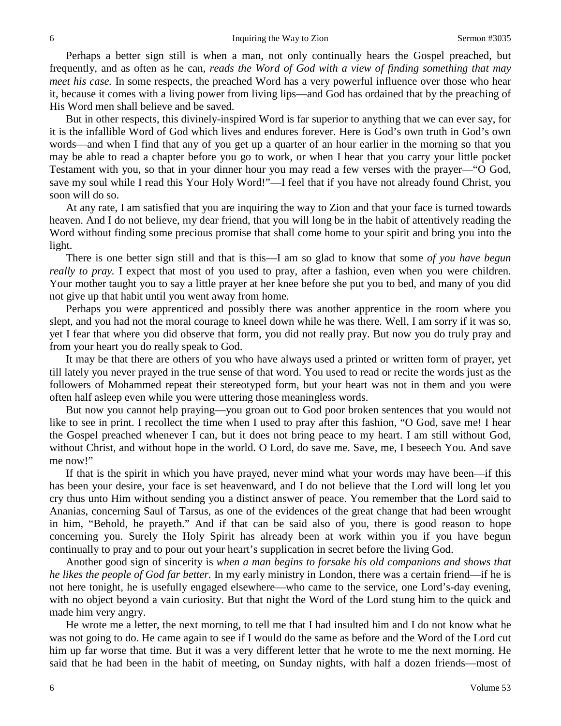Perhaps a better sign still is when a man, not only continually hears the Gospel preached, but frequently, and as often as he can, *reads the Word of God with a view of finding something that may meet his case.* In some respects, the preached Word has a very powerful influence over those who hear it, because it comes with a living power from living lips—and God has ordained that by the preaching of His Word men shall believe and be saved.

But in other respects, this divinely-inspired Word is far superior to anything that we can ever say, for it is the infallible Word of God which lives and endures forever. Here is God's own truth in God's own words—and when I find that any of you get up a quarter of an hour earlier in the morning so that you may be able to read a chapter before you go to work, or when I hear that you carry your little pocket Testament with you, so that in your dinner hour you may read a few verses with the prayer—"O God, save my soul while I read this Your Holy Word!"—I feel that if you have not already found Christ, you soon will do so.

At any rate, I am satisfied that you are inquiring the way to Zion and that your face is turned towards heaven. And I do not believe, my dear friend, that you will long be in the habit of attentively reading the Word without finding some precious promise that shall come home to your spirit and bring you into the light.

There is one better sign still and that is this—I am so glad to know that some *of you have begun really to pray.* I expect that most of you used to pray, after a fashion, even when you were children. Your mother taught you to say a little prayer at her knee before she put you to bed, and many of you did not give up that habit until you went away from home.

Perhaps you were apprenticed and possibly there was another apprentice in the room where you slept, and you had not the moral courage to kneel down while he was there. Well, I am sorry if it was so, yet I fear that where you did observe that form, you did not really pray. But now you do truly pray and from your heart you do really speak to God.

It may be that there are others of you who have always used a printed or written form of prayer, yet till lately you never prayed in the true sense of that word. You used to read or recite the words just as the followers of Mohammed repeat their stereotyped form, but your heart was not in them and you were often half asleep even while you were uttering those meaningless words.

But now you cannot help praying—you groan out to God poor broken sentences that you would not like to see in print. I recollect the time when I used to pray after this fashion, "O God, save me! I hear the Gospel preached whenever I can, but it does not bring peace to my heart. I am still without God, without Christ, and without hope in the world. O Lord, do save me. Save, me, I beseech You. And save me now!"

If that is the spirit in which you have prayed, never mind what your words may have been—if this has been your desire, your face is set heavenward, and I do not believe that the Lord will long let you cry thus unto Him without sending you a distinct answer of peace. You remember that the Lord said to Ananias, concerning Saul of Tarsus, as one of the evidences of the great change that had been wrought in him, "Behold, he prayeth." And if that can be said also of you, there is good reason to hope concerning you. Surely the Holy Spirit has already been at work within you if you have begun continually to pray and to pour out your heart's supplication in secret before the living God.

Another good sign of sincerity is *when a man begins to forsake his old companions and shows that he likes the people of God far better.* In my early ministry in London, there was a certain friend—if he is not here tonight, he is usefully engaged elsewhere—who came to the service, one Lord's-day evening, with no object beyond a vain curiosity. But that night the Word of the Lord stung him to the quick and made him very angry.

He wrote me a letter, the next morning, to tell me that I had insulted him and I do not know what he was not going to do. He came again to see if I would do the same as before and the Word of the Lord cut him up far worse that time. But it was a very different letter that he wrote to me the next morning. He said that he had been in the habit of meeting, on Sunday nights, with half a dozen friends—most of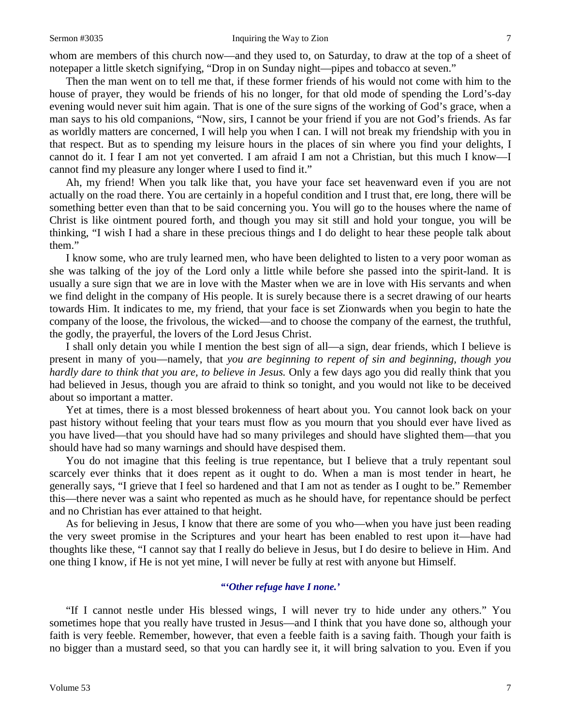whom are members of this church now—and they used to, on Saturday, to draw at the top of a sheet of notepaper a little sketch signifying, "Drop in on Sunday night—pipes and tobacco at seven."

Then the man went on to tell me that, if these former friends of his would not come with him to the house of prayer, they would be friends of his no longer, for that old mode of spending the Lord's-day evening would never suit him again. That is one of the sure signs of the working of God's grace, when a man says to his old companions, "Now, sirs, I cannot be your friend if you are not God's friends. As far as worldly matters are concerned, I will help you when I can. I will not break my friendship with you in that respect. But as to spending my leisure hours in the places of sin where you find your delights, I cannot do it. I fear I am not yet converted. I am afraid I am not a Christian, but this much I know—I cannot find my pleasure any longer where I used to find it."

Ah, my friend! When you talk like that, you have your face set heavenward even if you are not actually on the road there. You are certainly in a hopeful condition and I trust that, ere long, there will be something better even than that to be said concerning you. You will go to the houses where the name of Christ is like ointment poured forth, and though you may sit still and hold your tongue, you will be thinking, "I wish I had a share in these precious things and I do delight to hear these people talk about them."

I know some, who are truly learned men, who have been delighted to listen to a very poor woman as she was talking of the joy of the Lord only a little while before she passed into the spirit-land. It is usually a sure sign that we are in love with the Master when we are in love with His servants and when we find delight in the company of His people. It is surely because there is a secret drawing of our hearts towards Him. It indicates to me, my friend, that your face is set Zionwards when you begin to hate the company of the loose, the frivolous, the wicked—and to choose the company of the earnest, the truthful, the godly, the prayerful, the lovers of the Lord Jesus Christ.

I shall only detain you while I mention the best sign of all—a sign, dear friends, which I believe is present in many of you—namely, that *you are beginning to repent of sin and beginning, though you hardly dare to think that you are, to believe in Jesus.* Only a few days ago you did really think that you had believed in Jesus, though you are afraid to think so tonight, and you would not like to be deceived about so important a matter.

Yet at times, there is a most blessed brokenness of heart about you. You cannot look back on your past history without feeling that your tears must flow as you mourn that you should ever have lived as you have lived—that you should have had so many privileges and should have slighted them—that you should have had so many warnings and should have despised them.

You do not imagine that this feeling is true repentance, but I believe that a truly repentant soul scarcely ever thinks that it does repent as it ought to do. When a man is most tender in heart, he generally says, "I grieve that I feel so hardened and that I am not as tender as I ought to be." Remember this—there never was a saint who repented as much as he should have, for repentance should be perfect and no Christian has ever attained to that height.

As for believing in Jesus, I know that there are some of you who—when you have just been reading the very sweet promise in the Scriptures and your heart has been enabled to rest upon it—have had thoughts like these, "I cannot say that I really do believe in Jesus, but I do desire to believe in Him. And one thing I know, if He is not yet mine, I will never be fully at rest with anyone but Himself.

## *"'Other refuge have I none.'*

"If I cannot nestle under His blessed wings, I will never try to hide under any others." You sometimes hope that you really have trusted in Jesus—and I think that you have done so, although your faith is very feeble. Remember, however, that even a feeble faith is a saving faith. Though your faith is no bigger than a mustard seed, so that you can hardly see it, it will bring salvation to you. Even if you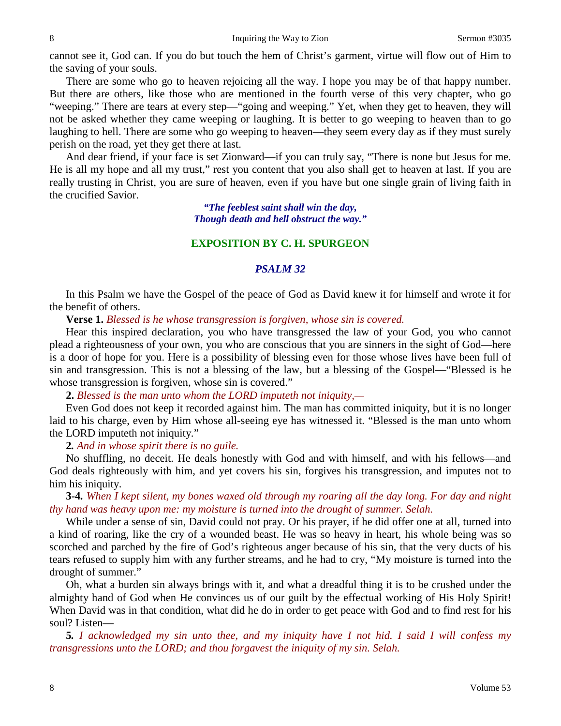cannot see it, God can. If you do but touch the hem of Christ's garment, virtue will flow out of Him to the saving of your souls.

There are some who go to heaven rejoicing all the way. I hope you may be of that happy number. But there are others, like those who are mentioned in the fourth verse of this very chapter, who go "weeping." There are tears at every step—"going and weeping." Yet, when they get to heaven, they will not be asked whether they came weeping or laughing. It is better to go weeping to heaven than to go laughing to hell. There are some who go weeping to heaven—they seem every day as if they must surely perish on the road, yet they get there at last.

And dear friend, if your face is set Zionward—if you can truly say, "There is none but Jesus for me. He is all my hope and all my trust," rest you content that you also shall get to heaven at last. If you are really trusting in Christ, you are sure of heaven, even if you have but one single grain of living faith in the crucified Savior.

> *"The feeblest saint shall win the day, Though death and hell obstruct the way."*

## **EXPOSITION BY C. H. SPURGEON**

#### *PSALM 32*

In this Psalm we have the Gospel of the peace of God as David knew it for himself and wrote it for the benefit of others.

**Verse 1.** *Blessed is he whose transgression is forgiven, whose sin is covered.*

Hear this inspired declaration, you who have transgressed the law of your God, you who cannot plead a righteousness of your own, you who are conscious that you are sinners in the sight of God—here is a door of hope for you. Here is a possibility of blessing even for those whose lives have been full of sin and transgression. This is not a blessing of the law, but a blessing of the Gospel—"Blessed is he whose transgression is forgiven, whose sin is covered."

**2.** *Blessed is the man unto whom the LORD imputeth not iniquity,—*

Even God does not keep it recorded against him. The man has committed iniquity, but it is no longer laid to his charge, even by Him whose all-seeing eye has witnessed it. "Blessed is the man unto whom the LORD imputeth not iniquity."

**2***. And in whose spirit there is no guile.*

No shuffling, no deceit. He deals honestly with God and with himself, and with his fellows—and God deals righteously with him, and yet covers his sin, forgives his transgression, and imputes not to him his iniquity.

**3-4***. When I kept silent, my bones waxed old through my roaring all the day long. For day and night thy hand was heavy upon me: my moisture is turned into the drought of summer. Selah.*

While under a sense of sin, David could not pray. Or his prayer, if he did offer one at all, turned into a kind of roaring, like the cry of a wounded beast. He was so heavy in heart, his whole being was so scorched and parched by the fire of God's righteous anger because of his sin, that the very ducts of his tears refused to supply him with any further streams, and he had to cry, "My moisture is turned into the drought of summer."

Oh, what a burden sin always brings with it, and what a dreadful thing it is to be crushed under the almighty hand of God when He convinces us of our guilt by the effectual working of His Holy Spirit! When David was in that condition, what did he do in order to get peace with God and to find rest for his soul? Listen—

**5***. I acknowledged my sin unto thee, and my iniquity have I not hid. I said I will confess my transgressions unto the LORD; and thou forgavest the iniquity of my sin. Selah.*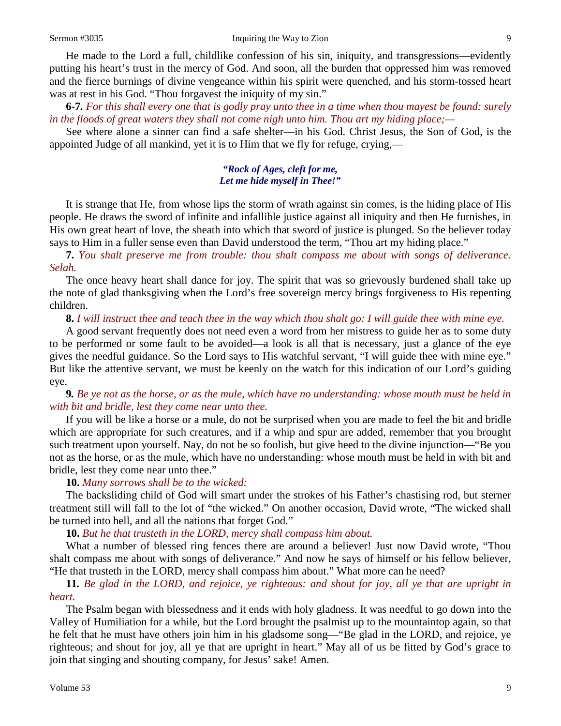He made to the Lord a full, childlike confession of his sin, iniquity, and transgressions—evidently putting his heart's trust in the mercy of God. And soon, all the burden that oppressed him was removed and the fierce burnings of divine vengeance within his spirit were quenched, and his storm-tossed heart was at rest in his God. "Thou for gavest the iniquity of my sin."

**6-7***. For this shall every one that is godly pray unto thee in a time when thou mayest be found: surely in the floods of great waters they shall not come nigh unto him. Thou art my hiding place;—*

See where alone a sinner can find a safe shelter—in his God. Christ Jesus, the Son of God, is the appointed Judge of all mankind, yet it is to Him that we fly for refuge, crying,—

### *"Rock of Ages, cleft for me, Let me hide myself in Thee!"*

It is strange that He, from whose lips the storm of wrath against sin comes, is the hiding place of His people. He draws the sword of infinite and infallible justice against all iniquity and then He furnishes, in His own great heart of love, the sheath into which that sword of justice is plunged. So the believer today says to Him in a fuller sense even than David understood the term, "Thou art my hiding place."

**7.** *You shalt preserve me from trouble: thou shalt compass me about with songs of deliverance. Selah.*

The once heavy heart shall dance for joy. The spirit that was so grievously burdened shall take up the note of glad thanksgiving when the Lord's free sovereign mercy brings forgiveness to His repenting children.

#### **8.** *I will instruct thee and teach thee in the way which thou shalt go: I will guide thee with mine eye.*

A good servant frequently does not need even a word from her mistress to guide her as to some duty to be performed or some fault to be avoided—a look is all that is necessary, just a glance of the eye gives the needful guidance. So the Lord says to His watchful servant, "I will guide thee with mine eye." But like the attentive servant, we must be keenly on the watch for this indication of our Lord's guiding eye.

**9***. Be ye not as the horse, or as the mule, which have no understanding: whose mouth must be held in with bit and bridle, lest they come near unto thee.*

If you will be like a horse or a mule, do not be surprised when you are made to feel the bit and bridle which are appropriate for such creatures, and if a whip and spur are added, remember that you brought such treatment upon yourself. Nay, do not be so foolish, but give heed to the divine injunction—"Be you not as the horse, or as the mule, which have no understanding: whose mouth must be held in with bit and bridle, lest they come near unto thee."

#### **10.** *Many sorrows shall be to the wicked:*

The backsliding child of God will smart under the strokes of his Father's chastising rod, but sterner treatment still will fall to the lot of "the wicked." On another occasion, David wrote, "The wicked shall be turned into hell, and all the nations that forget God."

#### **10.** *But he that trusteth in the LORD, mercy shall compass him about.*

What a number of blessed ring fences there are around a believer! Just now David wrote, "Thou shalt compass me about with songs of deliverance." And now he says of himself or his fellow believer, "He that trusteth in the LORD, mercy shall compass him about." What more can he need?

**11***. Be glad in the LORD, and rejoice, ye righteous: and shout for joy, all ye that are upright in heart.*

The Psalm began with blessedness and it ends with holy gladness. It was needful to go down into the Valley of Humiliation for a while, but the Lord brought the psalmist up to the mountaintop again, so that he felt that he must have others join him in his gladsome song—"Be glad in the LORD, and rejoice, ye righteous; and shout for joy, all ye that are upright in heart." May all of us be fitted by God's grace to join that singing and shouting company, for Jesus' sake! Amen.